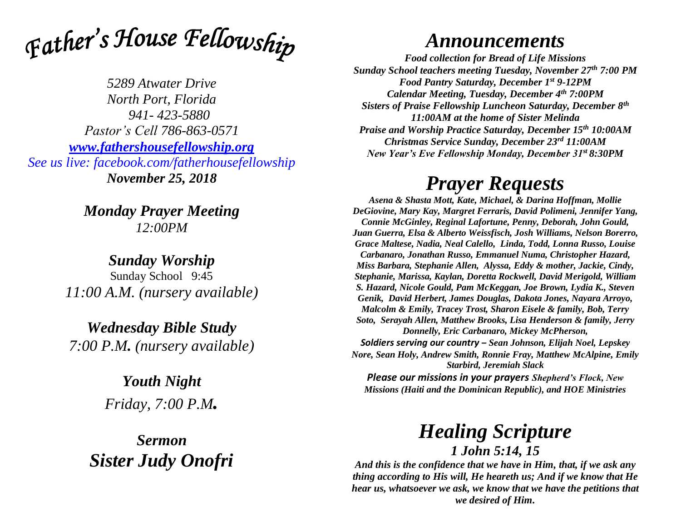

*5289 Atwater Drive North Port, Florida 941- 423-5880 Pastor's Cell 786-863-0571 [www.fathershousefellowship.org](http://www.fathershousefellowship.org/) See us live: facebook.com/fatherhousefellowship November 25, 2018*

> *Monday Prayer Meeting 12:00PM*

*Sunday Worship* Sunday School 9:45 *11:00 A.M. (nursery available)*

*Wednesday Bible Study 7:00 P.M. (nursery available)*

> *Youth Night Friday, 7:00 P.M.*

*Sermon Sister Judy Onofri*

## *Announcements*

*Food collection for Bread of Life Missions Sunday School teachers meeting Tuesday, November 27th 7:00 PM Food Pantry Saturday, December 1st 9-12PM Calendar Meeting, Tuesday, December 4th 7:00PM Sisters of Praise Fellowship Luncheon Saturday, December 8th 11:00AM at the home of Sister Melinda Praise and Worship Practice Saturday, December 15th 10:00AM Christmas Service Sunday, December 23rd 11:00AM New Year's Eve Fellowship Monday, December 31st 8:30PM*

## *Prayer Requests*

*Asena & Shasta Mott, Kate, Michael, & Darina Hoffman, Mollie DeGiovine, Mary Kay, Margret Ferraris, David Polimeni, Jennifer Yang, Connie McGinley, Reginal Lafortune, Penny, Deborah, John Gould, Juan Guerra, Elsa & Alberto Weissfisch, Josh Williams, Nelson Borerro, Grace Maltese, Nadia, Neal Calello, Linda, Todd, Lonna Russo, Louise Carbanaro, Jonathan Russo, Emmanuel Numa, Christopher Hazard, Miss Barbara, Stephanie Allen, Alyssa, Eddy & mother, Jackie, Cindy, Stephanie, Marissa, Kaylan, Doretta Rockwell, David Merigold, William S. Hazard, Nicole Gould, Pam McKeggan, Joe Brown, Lydia K., Steven Genik, David Herbert, James Douglas, Dakota Jones, Nayara Arroyo, Malcolm & Emily, Tracey Trost, Sharon Eisele & family, Bob, Terry Soto, Serayah Allen, Matthew Brooks, Lisa Henderson & family, Jerry Donnelly, Eric Carbanaro, Mickey McPherson, Soldiers serving our country – Sean Johnson, Elijah Noel, Lepskey Nore, Sean Holy, Andrew Smith, Ronnie Fray, Matthew McAlpine, Emily Starbird, Jeremiah Slack*

*Please our missions in your prayers Shepherd's Flock, New Missions (Haiti and the Dominican Republic), and HOE Ministries*

> *Healing Scripture 1 John 5:14, 15*

*And this is the confidence that we have in Him, that, if we ask any thing according to His will, He heareth us; And if we know that He hear us, whatsoever we ask, we know that we have the petitions that we desired of Him.*